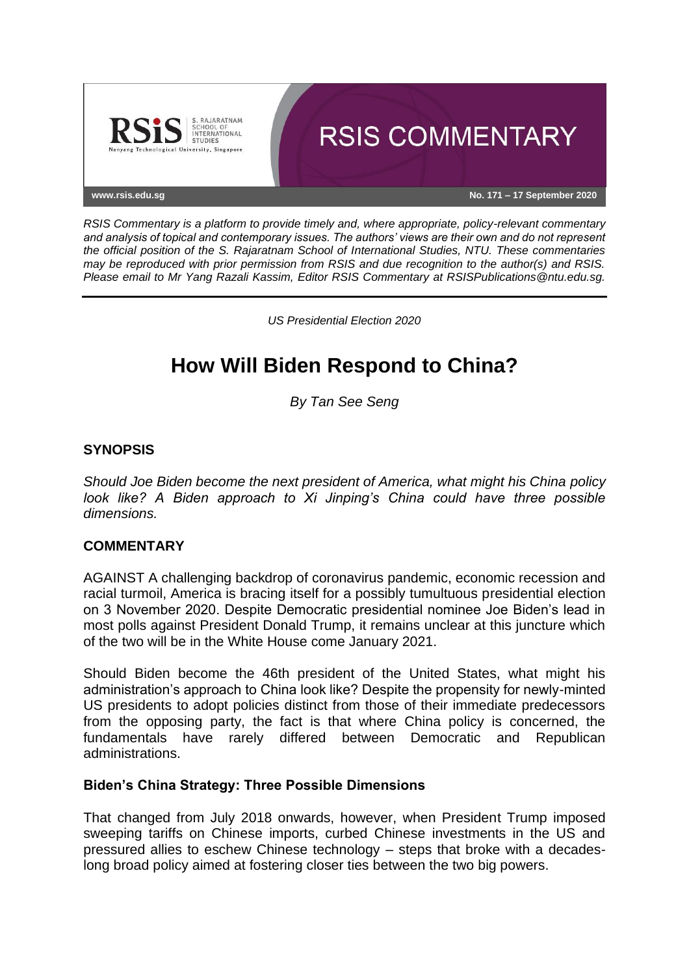

*RSIS Commentary is a platform to provide timely and, where appropriate, policy-relevant commentary and analysis of topical and contemporary issues. The authors' views are their own and do not represent the official position of the S. Rajaratnam School of International Studies, NTU. These commentaries may be reproduced with prior permission from RSIS and due recognition to the author(s) and RSIS. Please email to Mr Yang Razali Kassim, Editor RSIS Commentary at RSISPublications@ntu.edu.sg.*

*US Presidential Election 2020*

# **How Will Biden Respond to China?**

*By Tan See Seng*

# **SYNOPSIS**

*Should Joe Biden become the next president of America, what might his China policy look like? A Biden approach to Xi Jinping's China could have three possible dimensions.*

### **COMMENTARY**

AGAINST A challenging backdrop of coronavirus pandemic, economic recession and racial turmoil, America is bracing itself for a possibly tumultuous presidential election on 3 November 2020. Despite Democratic presidential nominee Joe Biden's lead in most polls against President Donald Trump, it remains unclear at this juncture which of the two will be in the White House come January 2021.

Should Biden become the 46th president of the United States, what might his administration's approach to China look like? Despite the propensity for newly-minted US presidents to adopt policies distinct from those of their immediate predecessors from the opposing party, the fact is that where China policy is concerned, the fundamentals have rarely differed between Democratic and Republican administrations.

# **Biden's China Strategy: Three Possible Dimensions**

That changed from July 2018 onwards, however, when President Trump imposed sweeping tariffs on Chinese imports, curbed Chinese investments in the US and pressured allies to eschew Chinese technology – steps that broke with a decadeslong broad policy aimed at fostering closer ties between the two big powers.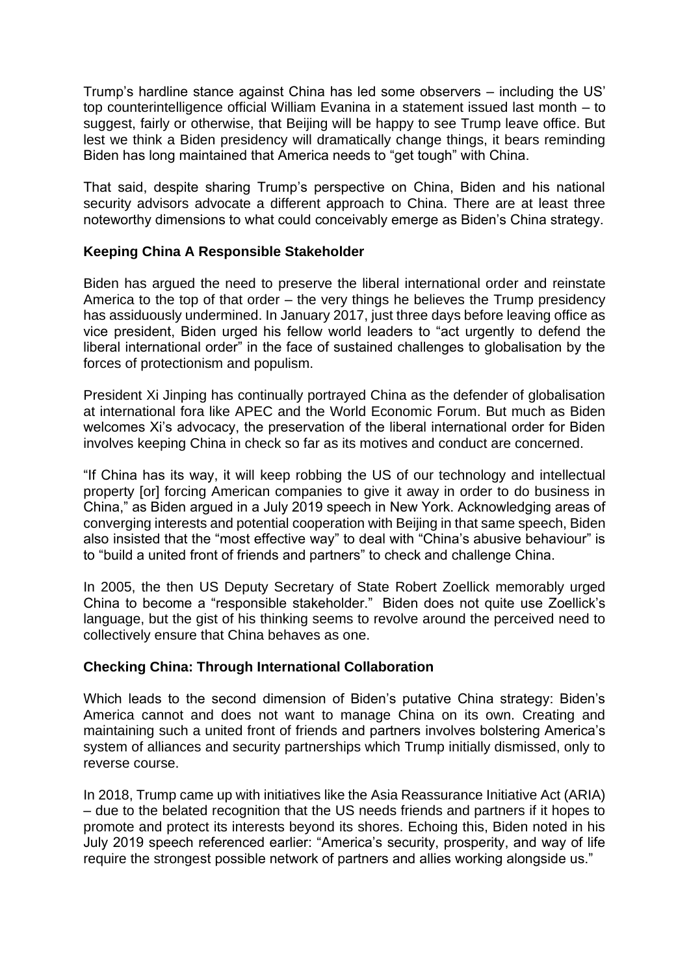Trump's hardline stance against China has led some observers – including the US' top counterintelligence official William Evanina in a statement issued last month – to suggest, fairly or otherwise, that Beijing will be happy to see Trump leave office. But lest we think a Biden presidency will dramatically change things, it bears reminding Biden has long maintained that America needs to "get tough" with China.

That said, despite sharing Trump's perspective on China, Biden and his national security advisors advocate a different approach to China. There are at least three noteworthy dimensions to what could conceivably emerge as Biden's China strategy.

# **Keeping China A Responsible Stakeholder**

Biden has argued the need to preserve the liberal international order and reinstate America to the top of that order – the very things he believes the Trump presidency has assiduously undermined. In January 2017, just three days before leaving office as vice president, Biden urged his fellow world leaders to "act urgently to defend the liberal international order" in the face of sustained challenges to globalisation by the forces of protectionism and populism.

President Xi Jinping has continually portrayed China as the defender of globalisation at international fora like APEC and the World Economic Forum. But much as Biden welcomes Xi's advocacy, the preservation of the liberal international order for Biden involves keeping China in check so far as its motives and conduct are concerned.

"If China has its way, it will keep robbing the US of our technology and intellectual property [or] forcing American companies to give it away in order to do business in China," as Biden argued in a July 2019 speech in New York. Acknowledging areas of converging interests and potential cooperation with Beijing in that same speech, Biden also insisted that the "most effective way" to deal with "China's abusive behaviour" is to "build a united front of friends and partners" to check and challenge China.

In 2005, the then US Deputy Secretary of State Robert Zoellick memorably urged China to become a "responsible stakeholder." Biden does not quite use Zoellick's language, but the gist of his thinking seems to revolve around the perceived need to collectively ensure that China behaves as one.

### **Checking China: Through International Collaboration**

Which leads to the second dimension of Biden's putative China strategy: Biden's America cannot and does not want to manage China on its own. Creating and maintaining such a united front of friends and partners involves bolstering America's system of alliances and security partnerships which Trump initially dismissed, only to reverse course.

In 2018, Trump came up with initiatives like the Asia Reassurance Initiative Act (ARIA) – due to the belated recognition that the US needs friends and partners if it hopes to promote and protect its interests beyond its shores. Echoing this, Biden noted in his July 2019 speech referenced earlier: "America's security, prosperity, and way of life require the strongest possible network of partners and allies working alongside us."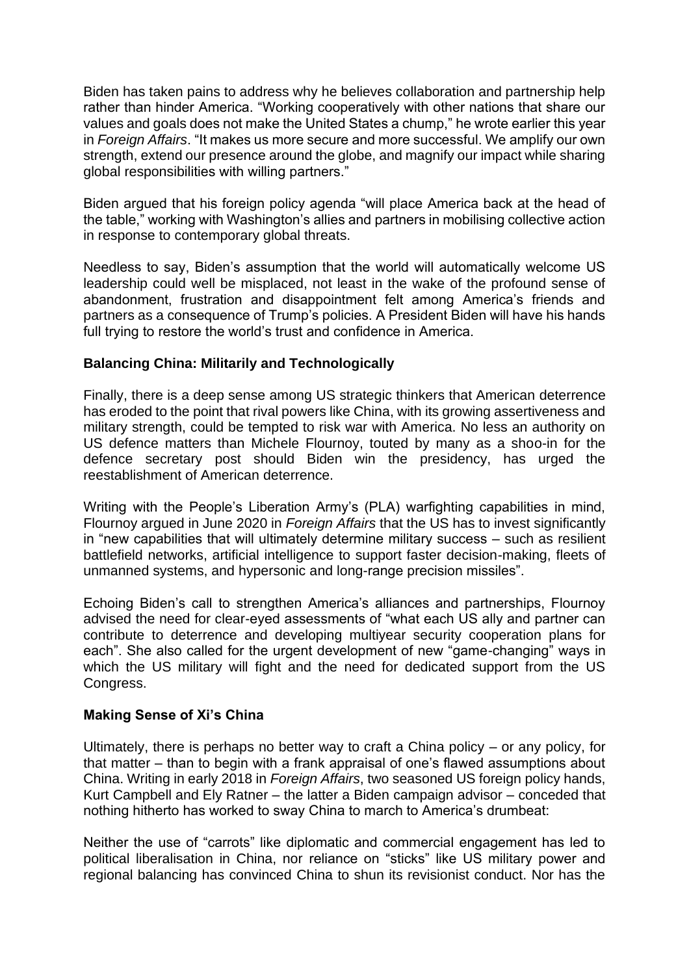Biden has taken pains to address why he believes collaboration and partnership help rather than hinder America. "Working cooperatively with other nations that share our values and goals does not make the United States a chump," he wrote earlier this year in *Foreign Affairs*. "It makes us more secure and more successful. We amplify our own strength, extend our presence around the globe, and magnify our impact while sharing global responsibilities with willing partners."

Biden argued that his foreign policy agenda "will place America back at the head of the table," working with Washington's allies and partners in mobilising collective action in response to contemporary global threats.

Needless to say, Biden's assumption that the world will automatically welcome US leadership could well be misplaced, not least in the wake of the profound sense of abandonment, frustration and disappointment felt among America's friends and partners as a consequence of Trump's policies. A President Biden will have his hands full trying to restore the world's trust and confidence in America.

# **Balancing China: Militarily and Technologically**

Finally, there is a deep sense among US strategic thinkers that American deterrence has eroded to the point that rival powers like China, with its growing assertiveness and military strength, could be tempted to risk war with America. No less an authority on US defence matters than Michele Flournoy, touted by many as a shoo-in for the defence secretary post should Biden win the presidency, has urged the reestablishment of American deterrence.

Writing with the People's Liberation Army's (PLA) warfighting capabilities in mind, Flournoy argued in June 2020 in *Foreign Affairs* that the US has to invest significantly in "new capabilities that will ultimately determine military success – such as resilient battlefield networks, artificial intelligence to support faster decision-making, fleets of unmanned systems, and hypersonic and long-range precision missiles".

Echoing Biden's call to strengthen America's alliances and partnerships, Flournoy advised the need for clear-eyed assessments of "what each US ally and partner can contribute to deterrence and developing multiyear security cooperation plans for each". She also called for the urgent development of new "game-changing" ways in which the US military will fight and the need for dedicated support from the US Congress.

### **Making Sense of Xi's China**

Ultimately, there is perhaps no better way to craft a China policy – or any policy, for that matter – than to begin with a frank appraisal of one's flawed assumptions about China. Writing in early 2018 in *Foreign Affairs*, two seasoned US foreign policy hands, Kurt Campbell and Ely Ratner – the latter a Biden campaign advisor – conceded that nothing hitherto has worked to sway China to march to America's drumbeat:

Neither the use of "carrots" like diplomatic and commercial engagement has led to political liberalisation in China, nor reliance on "sticks" like US military power and regional balancing has convinced China to shun its revisionist conduct. Nor has the